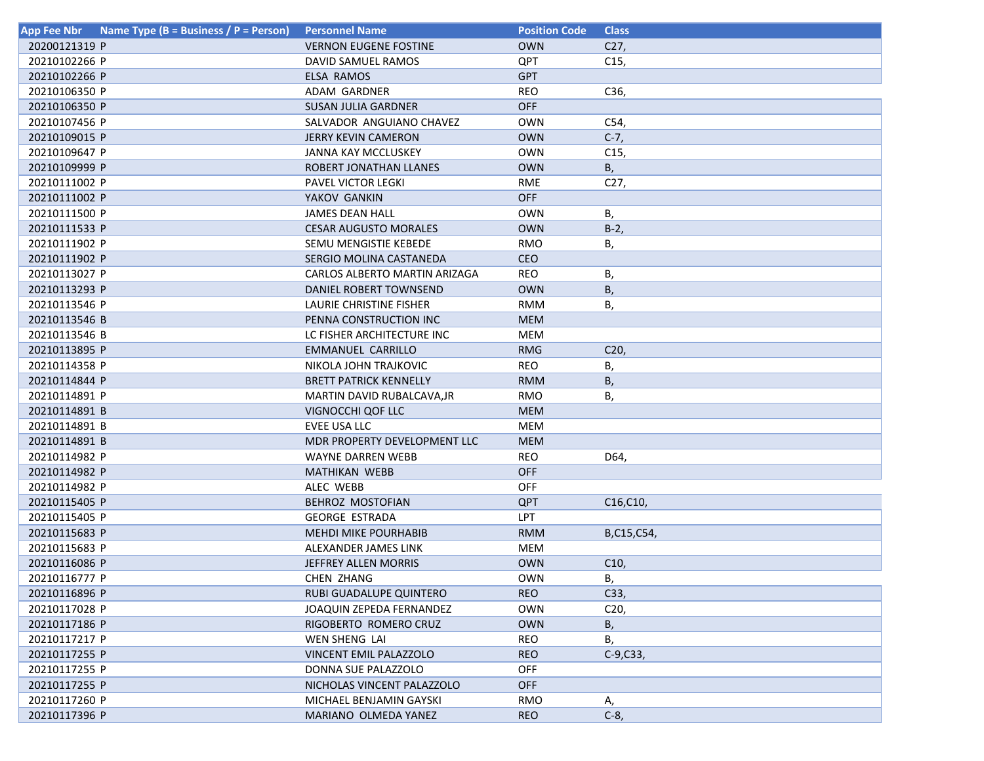| Name Type (B = Business / P = Person)<br><b>App Fee Nbr</b> | <b>Personnel Name</b>         | <b>Position Code</b> | <b>Class</b>                        |
|-------------------------------------------------------------|-------------------------------|----------------------|-------------------------------------|
| 20200121319 P                                               | <b>VERNON EUGENE FOSTINE</b>  | <b>OWN</b>           | C27,                                |
| 20210102266 P                                               | DAVID SAMUEL RAMOS            | QPT                  | C15,                                |
| 20210102266 P                                               | <b>ELSA RAMOS</b>             | <b>GPT</b>           |                                     |
| 20210106350 P                                               | ADAM GARDNER                  | <b>REO</b>           | C36,                                |
| 20210106350 P                                               | SUSAN JULIA GARDNER           | <b>OFF</b>           |                                     |
| 20210107456 P                                               | SALVADOR ANGUIANO CHAVEZ      | <b>OWN</b>           | C54,                                |
| 20210109015 P                                               | <b>JERRY KEVIN CAMERON</b>    | <b>OWN</b>           | $C-7,$                              |
| 20210109647 P                                               | <b>JANNA KAY MCCLUSKEY</b>    | <b>OWN</b>           | C <sub>15</sub>                     |
| 20210109999 P                                               | ROBERT JONATHAN LLANES        | <b>OWN</b>           | В,                                  |
| 20210111002 P                                               | PAVEL VICTOR LEGKI            | <b>RME</b>           | C <sub>27</sub>                     |
| 20210111002 P                                               | YAKOV GANKIN                  | <b>OFF</b>           |                                     |
| 20210111500 P                                               | <b>JAMES DEAN HALL</b>        | <b>OWN</b>           | В,                                  |
| 20210111533 P                                               | <b>CESAR AUGUSTO MORALES</b>  | <b>OWN</b>           | $B-2$                               |
| 20210111902 P                                               | SEMU MENGISTIE KEBEDE         | <b>RMO</b>           | В,                                  |
| 20210111902 P                                               | SERGIO MOLINA CASTANEDA       | <b>CEO</b>           |                                     |
| 20210113027 P                                               | CARLOS ALBERTO MARTIN ARIZAGA | <b>REO</b>           | В,                                  |
| 20210113293 P                                               | DANIEL ROBERT TOWNSEND        | <b>OWN</b>           | <b>B</b> ,                          |
| 20210113546 P                                               | LAURIE CHRISTINE FISHER       | <b>RMM</b>           | В,                                  |
| 20210113546 B                                               | PENNA CONSTRUCTION INC        | <b>MEM</b>           |                                     |
| 20210113546 B                                               | LC FISHER ARCHITECTURE INC    | MEM                  |                                     |
| 20210113895 P                                               | <b>EMMANUEL CARRILLO</b>      | <b>RMG</b>           | C <sub>20</sub>                     |
| 20210114358 P                                               | NIKOLA JOHN TRAJKOVIC         | REO                  | В,                                  |
| 20210114844 P                                               | <b>BRETT PATRICK KENNELLY</b> | <b>RMM</b>           | Β,                                  |
| 20210114891 P                                               | MARTIN DAVID RUBALCAVA,JR     | RMO                  | В,                                  |
| 20210114891 B                                               | VIGNOCCHI QOF LLC             | <b>MEM</b>           |                                     |
| 20210114891 B                                               | EVEE USA LLC                  | MEM                  |                                     |
| 20210114891 B                                               | MDR PROPERTY DEVELOPMENT LLC  | <b>MEM</b>           |                                     |
| 20210114982 P                                               | <b>WAYNE DARREN WEBB</b>      | <b>REO</b>           | D64,                                |
| 20210114982 P                                               | MATHIKAN WEBB                 | <b>OFF</b>           |                                     |
| 20210114982 P                                               | ALEC WEBB                     | <b>OFF</b>           |                                     |
| 20210115405 P                                               | <b>BEHROZ MOSTOFIAN</b>       | QPT                  | C <sub>16</sub> , C <sub>10</sub> , |
| 20210115405 P                                               | <b>GEORGE ESTRADA</b>         | LPT                  |                                     |
| 20210115683 P                                               | MEHDI MIKE POURHABIB          | <b>RMM</b>           | B,C15,C54,                          |
| 20210115683 P                                               | ALEXANDER JAMES LINK          | <b>MEM</b>           |                                     |
| 20210116086 P                                               | JEFFREY ALLEN MORRIS          | <b>OWN</b>           | C10,                                |
| 20210116777 P                                               | CHEN ZHANG                    | <b>OWN</b>           | В,                                  |
| 20210116896 P                                               | RUBI GUADALUPE QUINTERO       | <b>REO</b>           | C33,                                |
| 20210117028 P                                               | JOAQUIN ZEPEDA FERNANDEZ      | OWN                  | C20,                                |
| 20210117186 P                                               | RIGOBERTO ROMERO CRUZ         | <b>OWN</b>           | В,                                  |
| 20210117217 P                                               | WEN SHENG LAI                 | REO                  | В,                                  |
| 20210117255 P                                               | VINCENT EMIL PALAZZOLO        | <b>REO</b>           | $C-9, C33,$                         |
| 20210117255 P                                               | DONNA SUE PALAZZOLO           | OFF                  |                                     |
| 20210117255 P                                               | NICHOLAS VINCENT PALAZZOLO    | <b>OFF</b>           |                                     |
| 20210117260 P                                               | MICHAEL BENJAMIN GAYSKI       | RMO                  | Α,                                  |
| 20210117396 P                                               | MARIANO OLMEDA YANEZ          | <b>REO</b>           | $C-8$ ,                             |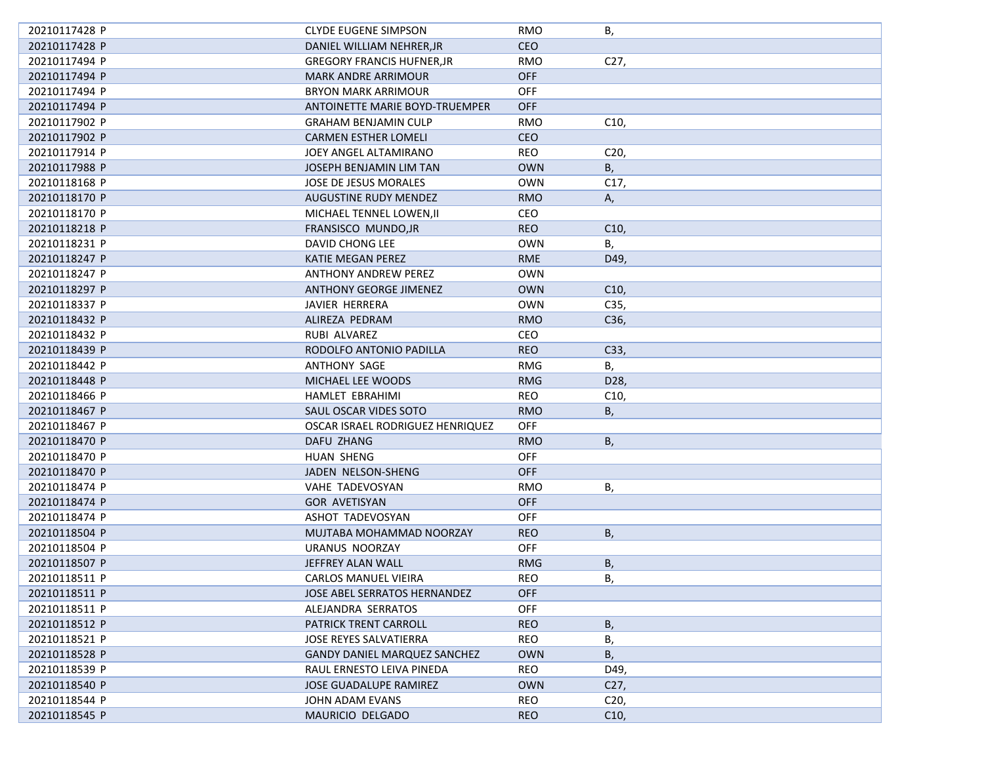| 20210117428 P | <b>CLYDE EUGENE SIMPSON</b>         | RMO        | В,              |
|---------------|-------------------------------------|------------|-----------------|
| 20210117428 P | DANIEL WILLIAM NEHRER, JR           | <b>CEO</b> |                 |
| 20210117494 P | <b>GREGORY FRANCIS HUFNER, JR</b>   | <b>RMO</b> | C27,            |
| 20210117494 P | <b>MARK ANDRE ARRIMOUR</b>          | <b>OFF</b> |                 |
| 20210117494 P | <b>BRYON MARK ARRIMOUR</b>          | <b>OFF</b> |                 |
| 20210117494 P | ANTOINETTE MARIE BOYD-TRUEMPER      | <b>OFF</b> |                 |
| 20210117902 P | <b>GRAHAM BENJAMIN CULP</b>         | RMO        | C10,            |
| 20210117902 P | <b>CARMEN ESTHER LOMELI</b>         | <b>CEO</b> |                 |
| 20210117914 P | JOEY ANGEL ALTAMIRANO               | <b>REO</b> | C <sub>20</sub> |
| 20210117988 P | JOSEPH BENJAMIN LIM TAN             | <b>OWN</b> | B,              |
| 20210118168 P | JOSE DE JESUS MORALES               | <b>OWN</b> | C17,            |
| 20210118170 P | AUGUSTINE RUDY MENDEZ               | <b>RMO</b> | А,              |
| 20210118170 P | MICHAEL TENNEL LOWEN, II            | CEO        |                 |
| 20210118218 P | FRANSISCO MUNDO, JR                 | <b>REO</b> | C10,            |
| 20210118231 P | DAVID CHONG LEE                     | <b>OWN</b> | В,              |
| 20210118247 P | KATIE MEGAN PEREZ                   | <b>RME</b> | D49,            |
| 20210118247 P | <b>ANTHONY ANDREW PEREZ</b>         | <b>OWN</b> |                 |
| 20210118297 P | ANTHONY GEORGE JIMENEZ              | <b>OWN</b> | C10,            |
| 20210118337 P | JAVIER HERRERA                      | <b>OWN</b> | C35,            |
| 20210118432 P | ALIREZA PEDRAM                      | <b>RMO</b> | C36,            |
| 20210118432 P | RUBI ALVAREZ                        | CEO        |                 |
| 20210118439 P | RODOLFO ANTONIO PADILLA             | <b>REO</b> | C33,            |
| 20210118442 P | <b>ANTHONY SAGE</b>                 | <b>RMG</b> | В,              |
| 20210118448 P | MICHAEL LEE WOODS                   | <b>RMG</b> | D28,            |
| 20210118466 P | HAMLET EBRAHIMI                     | REO        | C10,            |
| 20210118467 P | SAUL OSCAR VIDES SOTO               | <b>RMO</b> | В,              |
| 20210118467 P | OSCAR ISRAEL RODRIGUEZ HENRIQUEZ    | OFF        |                 |
| 20210118470 P | DAFU ZHANG                          | <b>RMO</b> | В,              |
| 20210118470 P | HUAN SHENG                          | <b>OFF</b> |                 |
| 20210118470 P | JADEN NELSON-SHENG                  | <b>OFF</b> |                 |
| 20210118474 P | VAHE TADEVOSYAN                     | RMO        | В,              |
| 20210118474 P | <b>GOR AVETISYAN</b>                | <b>OFF</b> |                 |
| 20210118474 P | ASHOT TADEVOSYAN                    | <b>OFF</b> |                 |
| 20210118504 P | MUJTABA MOHAMMAD NOORZAY            | <b>REO</b> | <b>B</b> ,      |
| 20210118504 P | URANUS NOORZAY                      | <b>OFF</b> |                 |
| 20210118507 P | JEFFREY ALAN WALL                   | <b>RMG</b> | <b>B</b> ,      |
| 20210118511 P | CARLOS MANUEL VIEIRA                | REO        | В,              |
| 20210118511 P | JOSE ABEL SERRATOS HERNANDEZ        | OFF        |                 |
| 20210118511 P | ALEJANDRA SERRATOS                  | <b>OFF</b> |                 |
| 20210118512 P | PATRICK TRENT CARROLL               | <b>REO</b> | В,              |
| 20210118521 P | <b>JOSE REYES SALVATIERRA</b>       | <b>REO</b> | В,              |
| 20210118528 P | <b>GANDY DANIEL MARQUEZ SANCHEZ</b> | <b>OWN</b> | В,              |
| 20210118539 P | RAUL ERNESTO LEIVA PINEDA           | REO        | D49,            |
| 20210118540 P | JOSE GUADALUPE RAMIREZ              | <b>OWN</b> | C27,            |
| 20210118544 P | JOHN ADAM EVANS                     | <b>REO</b> | C20,            |
| 20210118545 P | MAURICIO DELGADO                    | <b>REO</b> | C10,            |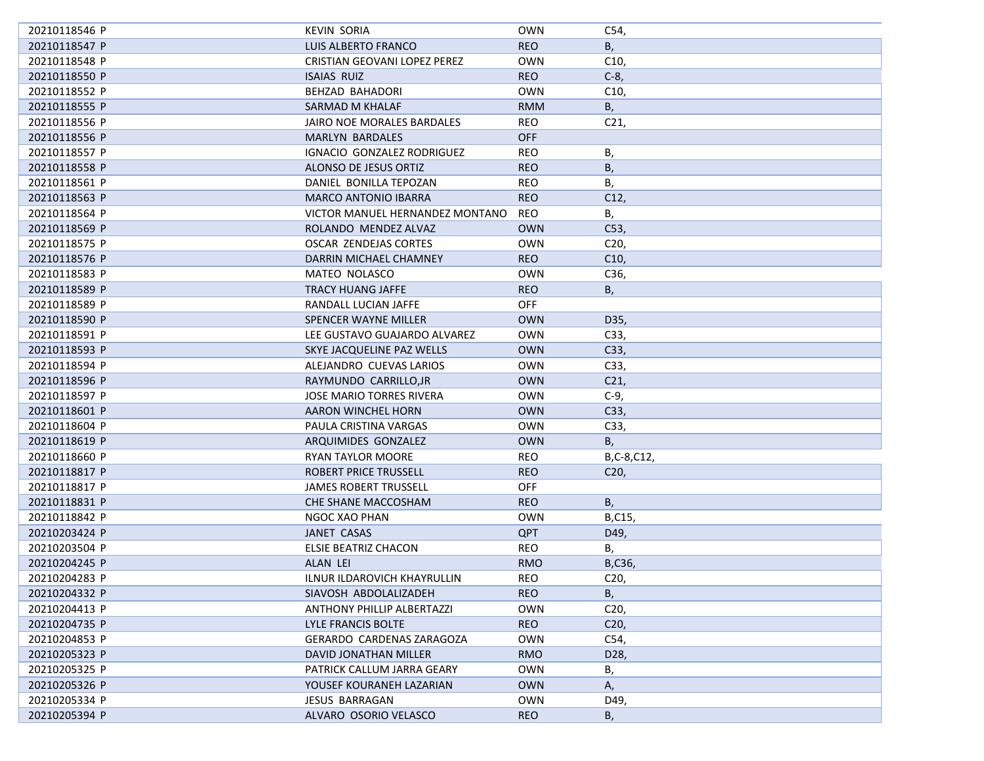| 20210118546 P | KEVIN SORIA                     | <b>OWN</b> | C54,            |
|---------------|---------------------------------|------------|-----------------|
| 20210118547 P | LUIS ALBERTO FRANCO             | <b>REO</b> | В,              |
| 20210118548 P | CRISTIAN GEOVANI LOPEZ PEREZ    | <b>OWN</b> | C10,            |
| 20210118550 P | ISAIAS RUIZ                     | <b>REO</b> | $C-8$           |
| 20210118552 P | BEHZAD BAHADORI                 | OWN        | C <sub>10</sub> |
| 20210118555 P | SARMAD M KHALAF                 | <b>RMM</b> | B,              |
| 20210118556 P | JAIRO NOE MORALES BARDALES      | <b>REO</b> | C <sub>21</sub> |
| 20210118556 P | MARLYN BARDALES                 | <b>OFF</b> |                 |
| 20210118557 P | IGNACIO GONZALEZ RODRIGUEZ      | REO        | В,              |
| 20210118558 P | ALONSO DE JESUS ORTIZ           | <b>REO</b> | B,              |
| 20210118561 P | DANIEL BONILLA TEPOZAN          | REO        | В,              |
| 20210118563 P | <b>MARCO ANTONIO IBARRA</b>     | <b>REO</b> | C12,            |
| 20210118564 P | VICTOR MANUEL HERNANDEZ MONTANO | <b>REO</b> | В,              |
| 20210118569 P | ROLANDO MENDEZ ALVAZ            | <b>OWN</b> | C53,            |
| 20210118575 P | OSCAR ZENDEJAS CORTES           | OWN        | C <sub>20</sub> |
| 20210118576 P | DARRIN MICHAEL CHAMNEY          | <b>REO</b> | C10,            |
| 20210118583 P | MATEO NOLASCO                   | OWN        | C36,            |
| 20210118589 P | <b>TRACY HUANG JAFFE</b>        | <b>REO</b> | В,              |
| 20210118589 P | RANDALL LUCIAN JAFFE            | <b>OFF</b> |                 |
| 20210118590 P | SPENCER WAYNE MILLER            | <b>OWN</b> | D35,            |
| 20210118591 P | LEE GUSTAVO GUAJARDO ALVAREZ    | OWN        | C33,            |
| 20210118593 P | SKYE JACQUELINE PAZ WELLS       | OWN        | C33,            |
| 20210118594 P | ALEJANDRO CUEVAS LARIOS         | OWN        | C33,            |
| 20210118596 P | RAYMUNDO CARRILLO, JR           | <b>OWN</b> | C21,            |
| 20210118597 P | JOSE MARIO TORRES RIVERA        | OWN        | $C-9$           |
| 20210118601 P | AARON WINCHEL HORN              | <b>OWN</b> | C33,            |
| 20210118604 P | PAULA CRISTINA VARGAS           | <b>OWN</b> | C33,            |
| 20210118619 P | ARQUIMIDES GONZALEZ             | <b>OWN</b> | <b>B</b> ,      |
| 20210118660 P | <b>RYAN TAYLOR MOORE</b>        | <b>REO</b> | B,C-8,C12,      |
| 20210118817 P | ROBERT PRICE TRUSSELL           | <b>REO</b> | C <sub>20</sub> |
| 20210118817 P | <b>JAMES ROBERT TRUSSELL</b>    | <b>OFF</b> |                 |
| 20210118831 P | CHE SHANE MACCOSHAM             | <b>REO</b> | B,              |
| 20210118842 P | NGOC XAO PHAN                   | OWN        | B,C15,          |
| 20210203424 P | JANET CASAS                     | <b>QPT</b> | D49,            |
| 20210203504 P | ELSIE BEATRIZ CHACON            | REO        | Β,              |
| 20210204245 P | <b>ALAN LEI</b>                 | <b>RMO</b> | B,C36,          |
| 20210204283 P | ILNUR ILDAROVICH KHAYRULLIN     | <b>REO</b> | C20,            |
| 20210204332 P | SIAVOSH ABDOLALIZADEH           | <b>REO</b> | В,              |
| 20210204413 P | ANTHONY PHILLIP ALBERTAZZI      | <b>OWN</b> | C <sub>20</sub> |
| 20210204735 P | LYLE FRANCIS BOLTE              | <b>REO</b> | C <sub>20</sub> |
| 20210204853 P | GERARDO CARDENAS ZARAGOZA       | OWN        | C54,            |
| 20210205323 P | DAVID JONATHAN MILLER           | <b>RMO</b> | D28,            |
| 20210205325 P | PATRICK CALLUM JARRA GEARY      | <b>OWN</b> | В,              |
| 20210205326 P | YOUSEF KOURANEH LAZARIAN        | <b>OWN</b> | А,              |
| 20210205334 P | JESUS BARRAGAN                  | <b>OWN</b> | D49,            |
| 20210205394 P | ALVARO OSORIO VELASCO           | <b>REO</b> |                 |
|               |                                 |            | В,              |